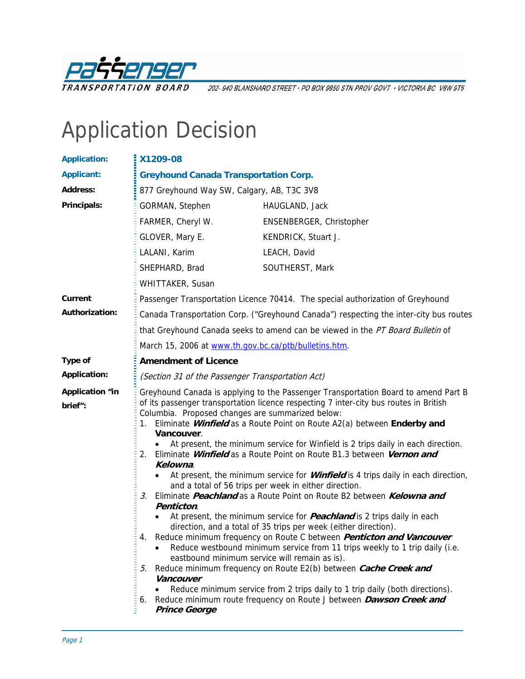

202-940 BLANSHARD STREET · PO BOX 9850 STN PROV GOVT · VICTORIA BC V8W 9T5

# Application Decision

| <b>Application:</b>               | X1209-08                                                                                                                                                                                                                                                                                                                                                                                                                                                                                                                                                                                                                                                                                                                                                                                                                                                                                                                                                                                                                                                                                                                                                                                                                                                                                                                                                                                                                         |                                                                                       |  |
|-----------------------------------|----------------------------------------------------------------------------------------------------------------------------------------------------------------------------------------------------------------------------------------------------------------------------------------------------------------------------------------------------------------------------------------------------------------------------------------------------------------------------------------------------------------------------------------------------------------------------------------------------------------------------------------------------------------------------------------------------------------------------------------------------------------------------------------------------------------------------------------------------------------------------------------------------------------------------------------------------------------------------------------------------------------------------------------------------------------------------------------------------------------------------------------------------------------------------------------------------------------------------------------------------------------------------------------------------------------------------------------------------------------------------------------------------------------------------------|---------------------------------------------------------------------------------------|--|
| <b>Applicant:</b>                 | <b>Greyhound Canada Transportation Corp.</b>                                                                                                                                                                                                                                                                                                                                                                                                                                                                                                                                                                                                                                                                                                                                                                                                                                                                                                                                                                                                                                                                                                                                                                                                                                                                                                                                                                                     |                                                                                       |  |
| <b>Address:</b>                   | 877 Greyhound Way SW, Calgary, AB, T3C 3V8                                                                                                                                                                                                                                                                                                                                                                                                                                                                                                                                                                                                                                                                                                                                                                                                                                                                                                                                                                                                                                                                                                                                                                                                                                                                                                                                                                                       |                                                                                       |  |
| Principals:                       | GORMAN, Stephen                                                                                                                                                                                                                                                                                                                                                                                                                                                                                                                                                                                                                                                                                                                                                                                                                                                                                                                                                                                                                                                                                                                                                                                                                                                                                                                                                                                                                  | HAUGLAND, Jack                                                                        |  |
|                                   | FARMER, Cheryl W.                                                                                                                                                                                                                                                                                                                                                                                                                                                                                                                                                                                                                                                                                                                                                                                                                                                                                                                                                                                                                                                                                                                                                                                                                                                                                                                                                                                                                | ENSENBERGER, Christopher                                                              |  |
|                                   | GLOVER, Mary E.                                                                                                                                                                                                                                                                                                                                                                                                                                                                                                                                                                                                                                                                                                                                                                                                                                                                                                                                                                                                                                                                                                                                                                                                                                                                                                                                                                                                                  | KENDRICK, Stuart J.                                                                   |  |
|                                   | LALANI, Karim                                                                                                                                                                                                                                                                                                                                                                                                                                                                                                                                                                                                                                                                                                                                                                                                                                                                                                                                                                                                                                                                                                                                                                                                                                                                                                                                                                                                                    | LEACH, David                                                                          |  |
|                                   | SHEPHARD, Brad                                                                                                                                                                                                                                                                                                                                                                                                                                                                                                                                                                                                                                                                                                                                                                                                                                                                                                                                                                                                                                                                                                                                                                                                                                                                                                                                                                                                                   | SOUTHERST, Mark                                                                       |  |
|                                   | <b>WHITTAKER, Susan</b>                                                                                                                                                                                                                                                                                                                                                                                                                                                                                                                                                                                                                                                                                                                                                                                                                                                                                                                                                                                                                                                                                                                                                                                                                                                                                                                                                                                                          |                                                                                       |  |
| Current                           |                                                                                                                                                                                                                                                                                                                                                                                                                                                                                                                                                                                                                                                                                                                                                                                                                                                                                                                                                                                                                                                                                                                                                                                                                                                                                                                                                                                                                                  | Passenger Transportation Licence 70414. The special authorization of Greyhound        |  |
| Authorization:                    |                                                                                                                                                                                                                                                                                                                                                                                                                                                                                                                                                                                                                                                                                                                                                                                                                                                                                                                                                                                                                                                                                                                                                                                                                                                                                                                                                                                                                                  | Canada Transportation Corp. ("Greyhound Canada") respecting the inter-city bus routes |  |
|                                   |                                                                                                                                                                                                                                                                                                                                                                                                                                                                                                                                                                                                                                                                                                                                                                                                                                                                                                                                                                                                                                                                                                                                                                                                                                                                                                                                                                                                                                  | that Greyhound Canada seeks to amend can be viewed in the PT Board Bulletin of        |  |
|                                   | March 15, 2006 at www.th.gov.bc.ca/ptb/bulletins.htm.                                                                                                                                                                                                                                                                                                                                                                                                                                                                                                                                                                                                                                                                                                                                                                                                                                                                                                                                                                                                                                                                                                                                                                                                                                                                                                                                                                            |                                                                                       |  |
| Type of                           | <b>Amendment of Licence</b>                                                                                                                                                                                                                                                                                                                                                                                                                                                                                                                                                                                                                                                                                                                                                                                                                                                                                                                                                                                                                                                                                                                                                                                                                                                                                                                                                                                                      |                                                                                       |  |
| <b>Application:</b>               | (Section 31 of the Passenger Transportation Act)                                                                                                                                                                                                                                                                                                                                                                                                                                                                                                                                                                                                                                                                                                                                                                                                                                                                                                                                                                                                                                                                                                                                                                                                                                                                                                                                                                                 |                                                                                       |  |
| <b>Application "in</b><br>brief": | Greyhound Canada is applying to the Passenger Transportation Board to amend Part B<br>of its passenger transportation licence respecting 7 inter-city bus routes in British<br>Columbia. Proposed changes are summarized below:<br>Eliminate Winfield as a Route Point on Route A2(a) between Enderby and<br>Vancouver.<br>At present, the minimum service for Winfield is 2 trips daily in each direction.<br>2. Eliminate <i>Winfield</i> as a Route Point on Route B1.3 between <i>Vernon and</i><br>Kelowna.<br>At present, the minimum service for <b>Winfield</b> is 4 trips daily in each direction,<br>$\bullet$<br>and a total of 56 trips per week in either direction.<br>Eliminate <i>Peachland</i> as a Route Point on Route B2 between <i>Kelowna and</i><br>3.<br>Penticton.<br>At present, the minimum service for <b>Peachland</b> is 2 trips daily in each<br>direction, and a total of 35 trips per week (either direction).<br>Reduce minimum frequency on Route C between Penticton and Vancouver<br>Reduce westbound minimum service from 11 trips weekly to 1 trip daily (i.e.<br>eastbound minimum service will remain as is).<br>Reduce minimum frequency on Route E2(b) between Cache Creek and<br>5.<br>Vancouver<br>Reduce minimum service from 2 trips daily to 1 trip daily (both directions).<br>Reduce minimum route frequency on Route J between Dawson Creek and<br>6.<br><b>Prince George</b> |                                                                                       |  |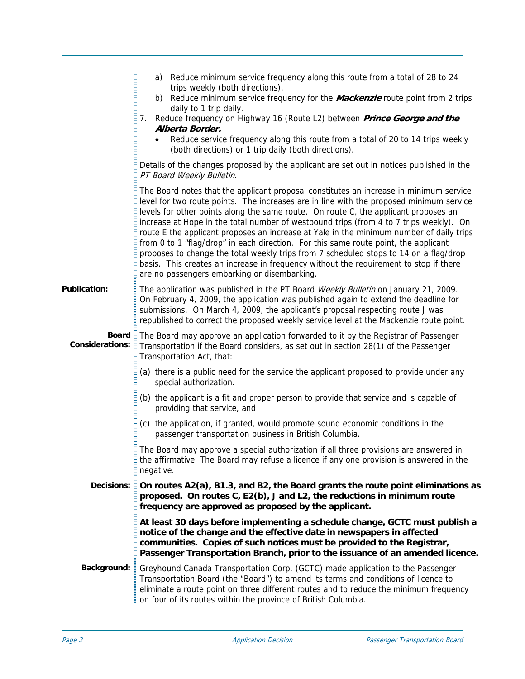|                                               | a) Reduce minimum service frequency along this route from a total of 28 to 24<br>trips weekly (both directions).<br>b) Reduce minimum service frequency for the Mackenzie route point from 2 trips<br>daily to 1 trip daily.<br>Reduce frequency on Highway 16 (Route L2) between <i>Prince George and the</i><br>7.<br>Alberta Border.<br>Reduce service frequency along this route from a total of 20 to 14 trips weekly<br>(both directions) or 1 trip daily (both directions).                                                                                                                                                                                                                                                                                                     |
|-----------------------------------------------|----------------------------------------------------------------------------------------------------------------------------------------------------------------------------------------------------------------------------------------------------------------------------------------------------------------------------------------------------------------------------------------------------------------------------------------------------------------------------------------------------------------------------------------------------------------------------------------------------------------------------------------------------------------------------------------------------------------------------------------------------------------------------------------|
|                                               | Details of the changes proposed by the applicant are set out in notices published in the<br>PT Board Weekly Bulletin.                                                                                                                                                                                                                                                                                                                                                                                                                                                                                                                                                                                                                                                                  |
|                                               | The Board notes that the applicant proposal constitutes an increase in minimum service<br>level for two route points. The increases are in line with the proposed minimum service<br>levels for other points along the same route. On route C, the applicant proposes an<br>increase at Hope in the total number of westbound trips (from 4 to 7 trips weekly). On<br>route E the applicant proposes an increase at Yale in the minimum number of daily trips<br>from 0 to 1 "flag/drop" in each direction. For this same route point, the applicant<br>proposes to change the total weekly trips from 7 scheduled stops to 14 on a flag/drop<br>basis. This creates an increase in frequency without the requirement to stop if there<br>are no passengers embarking or disembarking. |
| <b>Publication:</b>                           | The application was published in the PT Board Weekly Bulletin on January 21, 2009.<br>On February 4, 2009, the application was published again to extend the deadline for<br>submissions. On March 4, 2009, the applicant's proposal respecting route J was<br>republished to correct the proposed weekly service level at the Mackenzie route point.                                                                                                                                                                                                                                                                                                                                                                                                                                  |
| Board $\frac{1}{2}$<br><b>Considerations:</b> | The Board may approve an application forwarded to it by the Registrar of Passenger<br>Transportation if the Board considers, as set out in section 28(1) of the Passenger<br>Transportation Act, that:                                                                                                                                                                                                                                                                                                                                                                                                                                                                                                                                                                                 |
|                                               | (a) there is a public need for the service the applicant proposed to provide under any<br>special authorization.                                                                                                                                                                                                                                                                                                                                                                                                                                                                                                                                                                                                                                                                       |
|                                               | (b) the applicant is a fit and proper person to provide that service and is capable of<br>providing that service, and                                                                                                                                                                                                                                                                                                                                                                                                                                                                                                                                                                                                                                                                  |
|                                               | (c) the application, if granted, would promote sound economic conditions in the<br>passenger transportation business in British Columbia.                                                                                                                                                                                                                                                                                                                                                                                                                                                                                                                                                                                                                                              |
|                                               | The Board may approve a special authorization if all three provisions are answered in<br>the affirmative. The Board may refuse a licence if any one provision is answered in the<br>negative.                                                                                                                                                                                                                                                                                                                                                                                                                                                                                                                                                                                          |
| <b>Decisions:</b>                             | On routes A2(a), B1.3, and B2, the Board grants the route point eliminations as<br>proposed. On routes C, E2(b), J and L2, the reductions in minimum route<br>frequency are approved as proposed by the applicant.                                                                                                                                                                                                                                                                                                                                                                                                                                                                                                                                                                     |
|                                               | At least 30 days before implementing a schedule change, GCTC must publish a<br>notice of the change and the effective date in newspapers in affected<br>communities. Copies of such notices must be provided to the Registrar,<br>Passenger Transportation Branch, prior to the issuance of an amended licence.                                                                                                                                                                                                                                                                                                                                                                                                                                                                        |
| Background: =                                 | Greyhound Canada Transportation Corp. (GCTC) made application to the Passenger<br>Transportation Board (the "Board") to amend its terms and conditions of licence to<br>eliminate a route point on three different routes and to reduce the minimum frequency<br>on four of its routes within the province of British Columbia.                                                                                                                                                                                                                                                                                                                                                                                                                                                        |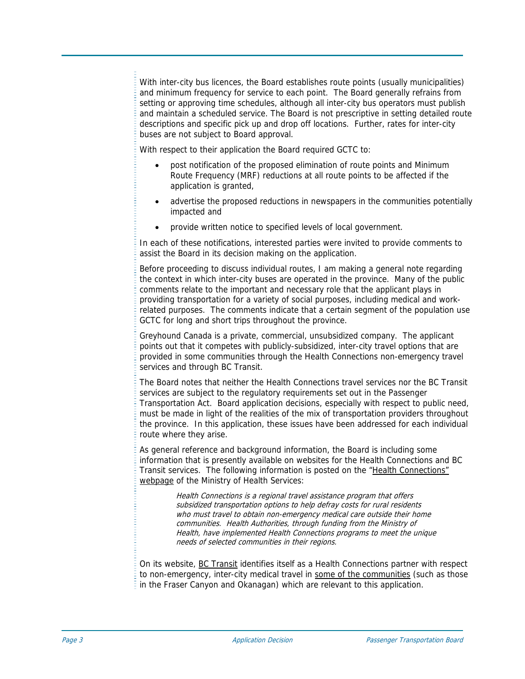With inter-city bus licences, the Board establishes route points (usually municipalities) and minimum frequency for service to each point. The Board generally refrains from setting or approving time schedules, although all inter-city bus operators must publish and maintain a scheduled service. The Board is not prescriptive in setting detailed route descriptions and specific pick up and drop off locations. Further, rates for inter-city buses are not subject to Board approval.

With respect to their application the Board required GCTC to:

- post notification of the proposed elimination of route points and Minimum Route Frequency (MRF) reductions at all route points to be affected if the application is granted,
- advertise the proposed reductions in newspapers in the communities potentially impacted and
- provide written notice to specified levels of local government.

In each of these notifications, interested parties were invited to provide comments to assist the Board in its decision making on the application.

Before proceeding to discuss individual routes, I am making a general note regarding the context in which inter-city buses are operated in the province. Many of the public comments relate to the important and necessary role that the applicant plays in providing transportation for a variety of social purposes, including medical and workrelated purposes. The comments indicate that a certain segment of the population use GCTC for long and short trips throughout the province.

Greyhound Canada is a private, commercial, unsubsidized company. The applicant points out that it competes with publicly-subsidized, inter-city travel options that are provided in some communities through the Health Connections non-emergency travel services and through BC Transit.

The Board notes that neither the Health Connections travel services nor the BC Transit services are subject to the regulatory requirements set out in the Passenger Transportation Act. Board application decisions, especially with respect to public need, must be made in light of the realities of the mix of transportation providers throughout the province. In this application, these issues have been addressed for each individual route where they arise.

As general reference and background information, the Board is including some information that is presently available on websites for the Health Connections and BC Transit services. The following information is posted on the ["Health Connections"](http://www.health.gov.bc.ca/msp/mtapp/connections.html)  [webpage](http://www.health.gov.bc.ca/msp/mtapp/connections.html) of the Ministry of Health Services:

> Health Connections is a regional travel assistance program that offers subsidized transportation options to help defray costs for rural residents who must travel to obtain non-emergency medical care outside their home communities. Health Authorities, through funding from the Ministry of Health, have implemented Health Connections programs to meet the unique needs of selected communities in their regions.

On its website, [BC Transit](http://www.bctransit.com/) identifies itself as a Health Connections partner with respect to non-emergency, inter-city medical travel in [some of the communities](http://www.busonline.ca/health_connections/?p=1.txt) (such as those in the Fraser Canyon and Okanagan) which are relevant to this application.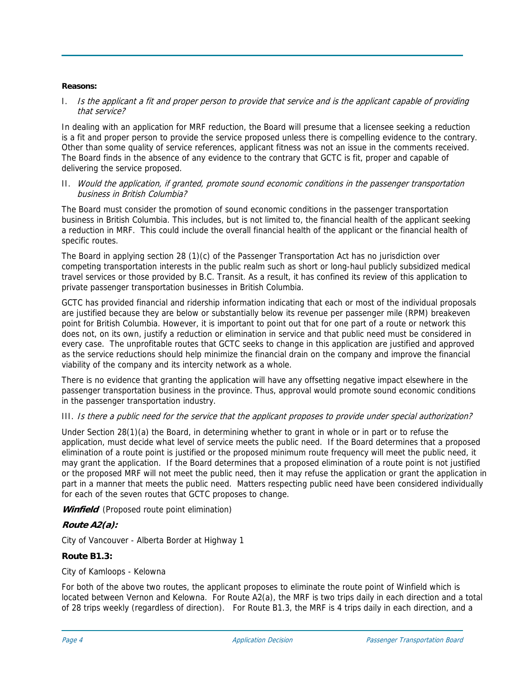## **Reasons:**

## I. Is the applicant a fit and proper person to provide that service and is the applicant capable of providing that service?

In dealing with an application for MRF reduction, the Board will presume that a licensee seeking a reduction is a fit and proper person to provide the service proposed unless there is compelling evidence to the contrary. Other than some quality of service references, applicant fitness was not an issue in the comments received. The Board finds in the absence of any evidence to the contrary that GCTC is fit, proper and capable of delivering the service proposed.

## II. Would the application, if granted, promote sound economic conditions in the passenger transportation business in British Columbia?

The Board must consider the promotion of sound economic conditions in the passenger transportation business in British Columbia. This includes, but is not limited to, the financial health of the applicant seeking a reduction in MRF. This could include the overall financial health of the applicant or the financial health of specific routes.

The Board in applying section 28 (1)(c) of the Passenger Transportation Act has no jurisdiction over competing transportation interests in the public realm such as short or long-haul publicly subsidized medical travel services or those provided by B.C. Transit. As a result, it has confined its review of this application to private passenger transportation businesses in British Columbia.

GCTC has provided financial and ridership information indicating that each or most of the individual proposals are justified because they are below or substantially below its revenue per passenger mile (RPM) breakeven point for British Columbia. However, it is important to point out that for one part of a route or network this does not, on its own, justify a reduction or elimination in service and that public need must be considered in every case. The unprofitable routes that GCTC seeks to change in this application are justified and approved as the service reductions should help minimize the financial drain on the company and improve the financial viability of the company and its intercity network as a whole.

There is no evidence that granting the application will have any offsetting negative impact elsewhere in the passenger transportation business in the province. Thus, approval would promote sound economic conditions in the passenger transportation industry.

# III. Is there a public need for the service that the applicant proposes to provide under special authorization?

Under Section 28(1)(a) the Board, in determining whether to grant in whole or in part or to refuse the application, must decide what level of service meets the public need. If the Board determines that a proposed elimination of a route point is justified or the proposed minimum route frequency will meet the public need, it may grant the application. If the Board determines that a proposed elimination of a route point is not justified or the proposed MRF will not meet the public need, then it may refuse the application or grant the application in part in a manner that meets the public need. Matters respecting public need have been considered individually for each of the seven routes that GCTC proposes to change.

Winfield (Proposed route point elimination)

# **Route A2(a):**

City of Vancouver - Alberta Border at Highway 1

## **Route B1.3:**

## City of Kamloops - Kelowna

For both of the above two routes, the applicant proposes to eliminate the route point of Winfield which is located between Vernon and Kelowna. For Route A2(a), the MRF is two trips daily in each direction and a total of 28 trips weekly (regardless of direction). For Route B1.3, the MRF is 4 trips daily in each direction, and a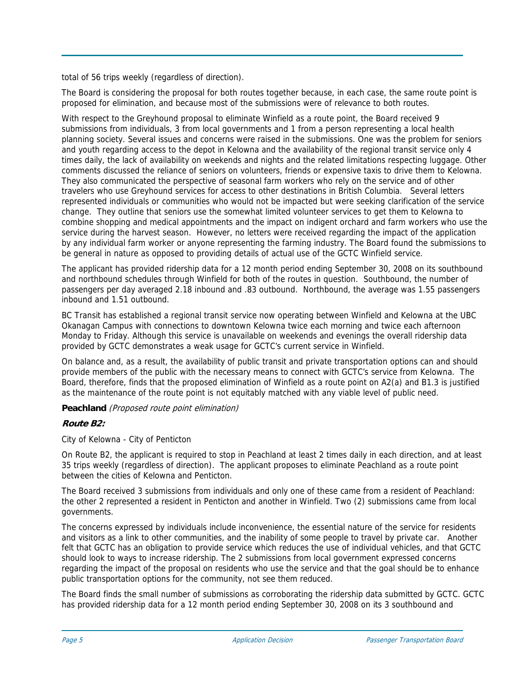total of 56 trips weekly (regardless of direction).

The Board is considering the proposal for both routes together because, in each case, the same route point is proposed for elimination, and because most of the submissions were of relevance to both routes.

With respect to the Greyhound proposal to eliminate Winfield as a route point, the Board received 9 submissions from individuals, 3 from local governments and 1 from a person representing a local health planning society. Several issues and concerns were raised in the submissions. One was the problem for seniors and youth regarding access to the depot in Kelowna and the availability of the regional transit service only 4 times daily, the lack of availability on weekends and nights and the related limitations respecting luggage. Other comments discussed the reliance of seniors on volunteers, friends or expensive taxis to drive them to Kelowna. They also communicated the perspective of seasonal farm workers who rely on the service and of other travelers who use Greyhound services for access to other destinations in British Columbia. Several letters represented individuals or communities who would not be impacted but were seeking clarification of the service change. They outline that seniors use the somewhat limited volunteer services to get them to Kelowna to combine shopping and medical appointments and the impact on indigent orchard and farm workers who use the service during the harvest season. However, no letters were received regarding the impact of the application by any individual farm worker or anyone representing the farming industry. The Board found the submissions to be general in nature as opposed to providing details of actual use of the GCTC Winfield service.

The applicant has provided ridership data for a 12 month period ending September 30, 2008 on its southbound and northbound schedules through Winfield for both of the routes in question. Southbound, the number of passengers per day averaged 2.18 inbound and .83 outbound. Northbound, the average was 1.55 passengers inbound and 1.51 outbound.

BC Transit has established a regional transit service now operating between Winfield and Kelowna at the UBC Okanagan Campus with connections to downtown Kelowna twice each morning and twice each afternoon Monday to Friday. Although this service is unavailable on weekends and evenings the overall ridership data provided by GCTC demonstrates a weak usage for GCTC's current service in Winfield.

On balance and, as a result, the availability of public transit and private transportation options can and should provide members of the public with the necessary means to connect with GCTC's service from Kelowna. The Board, therefore, finds that the proposed elimination of Winfield as a route point on A2(a) and B1.3 is justified as the maintenance of the route point is not equitably matched with any viable level of public need.

# **Peachland** (Proposed route point elimination)

# **Route B2:**

City of Kelowna - City of Penticton

On Route B2, the applicant is required to stop in Peachland at least 2 times daily in each direction, and at least 35 trips weekly (regardless of direction). The applicant proposes to eliminate Peachland as a route point between the cities of Kelowna and Penticton.

The Board received 3 submissions from individuals and only one of these came from a resident of Peachland: the other 2 represented a resident in Penticton and another in Winfield. Two (2) submissions came from local governments.

The concerns expressed by individuals include inconvenience, the essential nature of the service for residents and visitors as a link to other communities, and the inability of some people to travel by private car. Another felt that GCTC has an obligation to provide service which reduces the use of individual vehicles, and that GCTC should look to ways to increase ridership. The 2 submissions from local government expressed concerns regarding the impact of the proposal on residents who use the service and that the goal should be to enhance public transportation options for the community, not see them reduced.

The Board finds the small number of submissions as corroborating the ridership data submitted by GCTC. GCTC has provided ridership data for a 12 month period ending September 30, 2008 on its 3 southbound and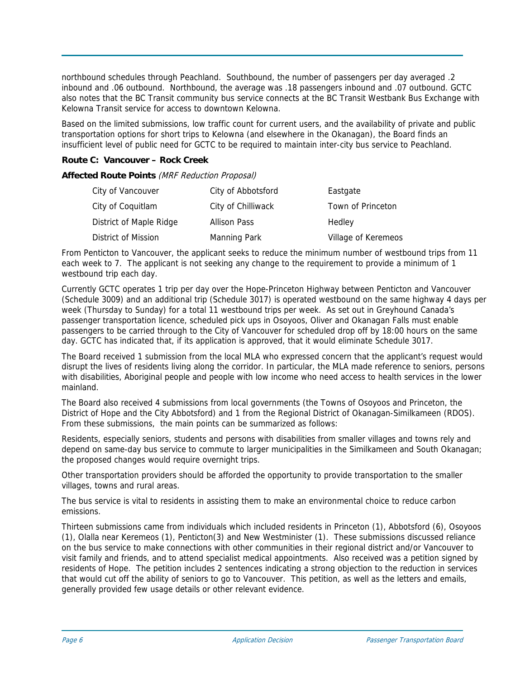northbound schedules through Peachland. Southbound, the number of passengers per day averaged .2 inbound and .06 outbound. Northbound, the average was .18 passengers inbound and .07 outbound. GCTC also notes that the BC Transit community bus service connects at the BC Transit Westbank Bus Exchange with Kelowna Transit service for access to downtown Kelowna.

Based on the limited submissions, low traffic count for current users, and the availability of private and public transportation options for short trips to Kelowna (and elsewhere in the Okanagan), the Board finds an insufficient level of public need for GCTC to be required to maintain inter-city bus service to Peachland.

# **Route C: Vancouver – Rock Creek**

## **Affected Route Points** (MRF Reduction Proposal)

| City of Vancouver       | City of Abbotsford  | Eastgate            |
|-------------------------|---------------------|---------------------|
| City of Coquitlam       | City of Chilliwack  | Town of Princeton   |
| District of Maple Ridge | <b>Allison Pass</b> | Hedley              |
| District of Mission     | Manning Park        | Village of Keremeos |

From Penticton to Vancouver, the applicant seeks to reduce the minimum number of westbound trips from 11 each week to 7. The applicant is not seeking any change to the requirement to provide a minimum of 1 westbound trip each day.

Currently GCTC operates 1 trip per day over the Hope-Princeton Highway between Penticton and Vancouver (Schedule 3009) and an additional trip (Schedule 3017) is operated westbound on the same highway 4 days per week (Thursday to Sunday) for a total 11 westbound trips per week. As set out in Greyhound Canada's passenger transportation licence, scheduled pick ups in Osoyoos, Oliver and Okanagan Falls must enable passengers to be carried through to the City of Vancouver for scheduled drop off by 18:00 hours on the same day. GCTC has indicated that, if its application is approved, that it would eliminate Schedule 3017.

The Board received 1 submission from the local MLA who expressed concern that the applicant's request would disrupt the lives of residents living along the corridor. In particular, the MLA made reference to seniors, persons with disabilities, Aboriginal people and people with low income who need access to health services in the lower mainland.

The Board also received 4 submissions from local governments (the Towns of Osoyoos and Princeton, the District of Hope and the City Abbotsford) and 1 from the Regional District of Okanagan-Similkameen (RDOS). From these submissions, the main points can be summarized as follows:

Residents, especially seniors, students and persons with disabilities from smaller villages and towns rely and depend on same-day bus service to commute to larger municipalities in the Similkameen and South Okanagan; the proposed changes would require overnight trips.

Other transportation providers should be afforded the opportunity to provide transportation to the smaller villages, towns and rural areas.

The bus service is vital to residents in assisting them to make an environmental choice to reduce carbon emissions.

Thirteen submissions came from individuals which included residents in Princeton (1), Abbotsford (6), Osoyoos (1), Olalla near Keremeos (1), Penticton(3) and New Westminister (1). These submissions discussed reliance on the bus service to make connections with other communities in their regional district and/or Vancouver to visit family and friends, and to attend specialist medical appointments. Also received was a petition signed by residents of Hope. The petition includes 2 sentences indicating a strong objection to the reduction in services that would cut off the ability of seniors to go to Vancouver. This petition, as well as the letters and emails, generally provided few usage details or other relevant evidence.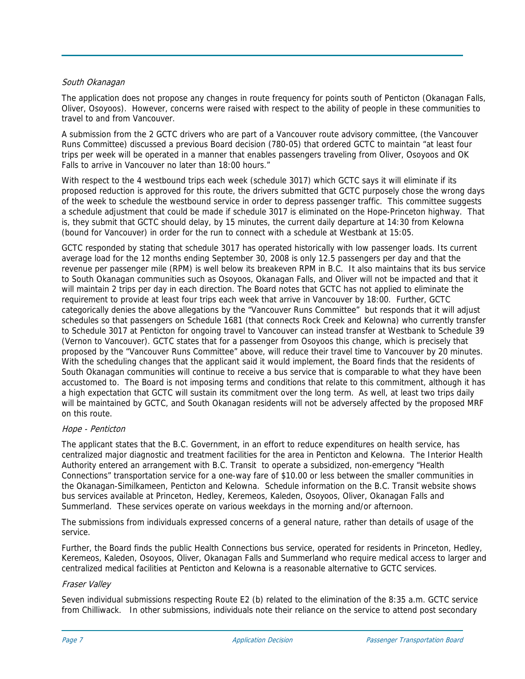## South Okanagan

The application does not propose any changes in route frequency for points south of Penticton (Okanagan Falls, Oliver, Osoyoos). However, concerns were raised with respect to the ability of people in these communities to travel to and from Vancouver.

A submission from the 2 GCTC drivers who are part of a Vancouver route advisory committee, (the Vancouver Runs Committee) discussed a previous Board decision (780-05) that ordered GCTC to maintain "at least four trips per week will be operated in a manner that enables passengers traveling from Oliver, Osoyoos and OK Falls to arrive in Vancouver no later than 18:00 hours."

With respect to the 4 westbound trips each week (schedule 3017) which GCTC says it will eliminate if its proposed reduction is approved for this route, the drivers submitted that GCTC purposely chose the wrong days of the week to schedule the westbound service in order to depress passenger traffic. This committee suggests a schedule adjustment that could be made if schedule 3017 is eliminated on the Hope-Princeton highway. That is, they submit that GCTC should delay, by 15 minutes, the current daily departure at 14:30 from Kelowna (bound for Vancouver) in order for the run to connect with a schedule at Westbank at 15:05.

GCTC responded by stating that schedule 3017 has operated historically with low passenger loads. Its current average load for the 12 months ending September 30, 2008 is only 12.5 passengers per day and that the revenue per passenger mile (RPM) is well below its breakeven RPM in B.C. It also maintains that its bus service to South Okanagan communities such as Osoyoos, Okanagan Falls, and Oliver will not be impacted and that it will maintain 2 trips per day in each direction. The Board notes that GCTC has not applied to eliminate the requirement to provide at least four trips each week that arrive in Vancouver by 18:00. Further, GCTC categorically denies the above allegations by the "Vancouver Runs Committee" but responds that it will adjust schedules so that passengers on Schedule 1681 (that connects Rock Creek and Kelowna) who currently transfer to Schedule 3017 at Penticton for ongoing travel to Vancouver can instead transfer at Westbank to Schedule 39 (Vernon to Vancouver). GCTC states that for a passenger from Osoyoos this change, which is precisely that proposed by the "Vancouver Runs Committee" above, will reduce their travel time to Vancouver by 20 minutes. With the scheduling changes that the applicant said it would implement, the Board finds that the residents of South Okanagan communities will continue to receive a bus service that is comparable to what they have been accustomed to. The Board is not imposing terms and conditions that relate to this commitment, although it has a high expectation that GCTC will sustain its commitment over the long term.As well, at least two trips daily will be maintained by GCTC, and South Okanagan residents will not be adversely affected by the proposed MRF on this route.

# Hope - Penticton

The applicant states that the B.C. Government, in an effort to reduce expenditures on health service, has centralized major diagnostic and treatment facilities for the area in Penticton and Kelowna. The Interior Health Authority entered an arrangement with B.C. Transit to operate a subsidized, non-emergency "Health Connections" transportation service for a one-way fare of \$10.00 or less between the smaller communities in the Okanagan-Similkameen, Penticton and Kelowna. Schedule information on the B.C. Transit website shows bus services available at Princeton, Hedley, Keremeos, Kaleden, Osoyoos, Oliver, Okanagan Falls and Summerland. These services operate on various weekdays in the morning and/or afternoon.

The submissions from individuals expressed concerns of a general nature, rather than details of usage of the service.

Further, the Board finds the public Health Connections bus service, operated for residents in Princeton, Hedley, Keremeos, Kaleden, Osoyoos, Oliver, Okanagan Falls and Summerland who require medical access to larger and centralized medical facilities at Penticton and Kelowna is a reasonable alternative to GCTC services.

## Fraser Valley

Seven individual submissions respecting Route E2 (b) related to the elimination of the 8:35 a.m. GCTC service from Chilliwack. In other submissions, individuals note their reliance on the service to attend post secondary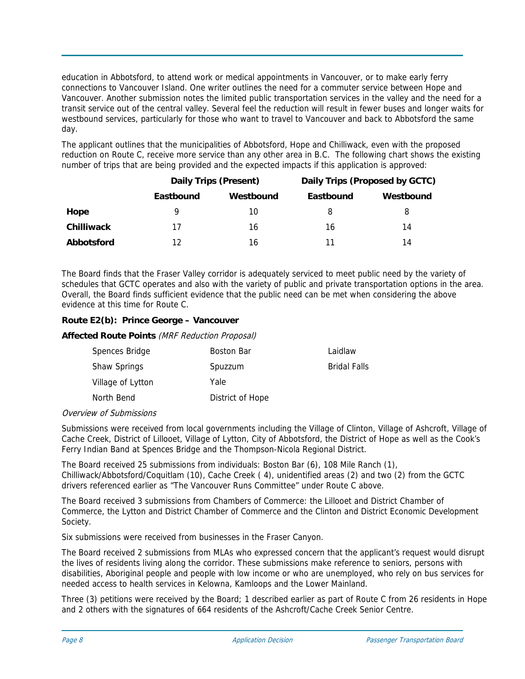education in Abbotsford, to attend work or medical appointments in Vancouver, or to make early ferry connections to Vancouver Island. One writer outlines the need for a commuter service between Hope and Vancouver. Another submission notes the limited public transportation services in the valley and the need for a transit service out of the central valley. Several feel the reduction will result in fewer buses and longer waits for westbound services, particularly for those who want to travel to Vancouver and back to Abbotsford the same day.

The applicant outlines that the municipalities of Abbotsford, Hope and Chilliwack, even with the proposed reduction on Route C, receive more service than any other area in B.C. The following chart shows the existing number of trips that are being provided and the expected impacts if this application is approved:

|                   | <b>Daily Trips (Present)</b> |           | Daily Trips (Proposed by GCTC) |           |
|-------------------|------------------------------|-----------|--------------------------------|-----------|
|                   | Eastbound                    | Westbound | Eastbound                      | Westbound |
| Hope              | 9                            | 10        | 8                              | 8         |
| <b>Chilliwack</b> | 17                           | 16        | 16                             | 14        |
| Abbotsford        | 12                           | 16        |                                | 14        |

The Board finds that the Fraser Valley corridor is adequately serviced to meet public need by the variety of schedules that GCTC operates and also with the variety of public and private transportation options in the area. Overall, the Board finds sufficient evidence that the public need can be met when considering the above evidence at this time for Route C.

# **Route E2(b): Prince George – Vancouver**

## **Affected Route Points** (MRF Reduction Proposal)

| Spences Bridge    | <b>Boston Bar</b> | Laidlaw             |
|-------------------|-------------------|---------------------|
| Shaw Springs      | Spuzzum           | <b>Bridal Falls</b> |
| Village of Lytton | Yale              |                     |
| North Bend        | District of Hope  |                     |

# Overview of Submissions

Submissions were received from local governments including the Village of Clinton, Village of Ashcroft, Village of Cache Creek, District of Lillooet, Village of Lytton, City of Abbotsford, the District of Hope as well as the Cook's Ferry Indian Band at Spences Bridge and the Thompson-Nicola Regional District.

The Board received 25 submissions from individuals: Boston Bar (6), 108 Mile Ranch (1), Chilliwack/Abbotsford/Coquitlam (10), Cache Creek ( 4), unidentified areas (2) and two (2) from the GCTC drivers referenced earlier as "The Vancouver Runs Committee" under Route C above.

The Board received 3 submissions from Chambers of Commerce: the Lillooet and District Chamber of Commerce, the Lytton and District Chamber of Commerce and the Clinton and District Economic Development Society.

Six submissions were received from businesses in the Fraser Canyon.

The Board received 2 submissions from MLAs who expressed concern that the applicant's request would disrupt the lives of residents living along the corridor. These submissions make reference to seniors, persons with disabilities, Aboriginal people and people with low income or who are unemployed, who rely on bus services for needed access to health services in Kelowna, Kamloops and the Lower Mainland.

Three (3) petitions were received by the Board; 1 described earlier as part of Route C from 26 residents in Hope and 2 others with the signatures of 664 residents of the Ashcroft/Cache Creek Senior Centre.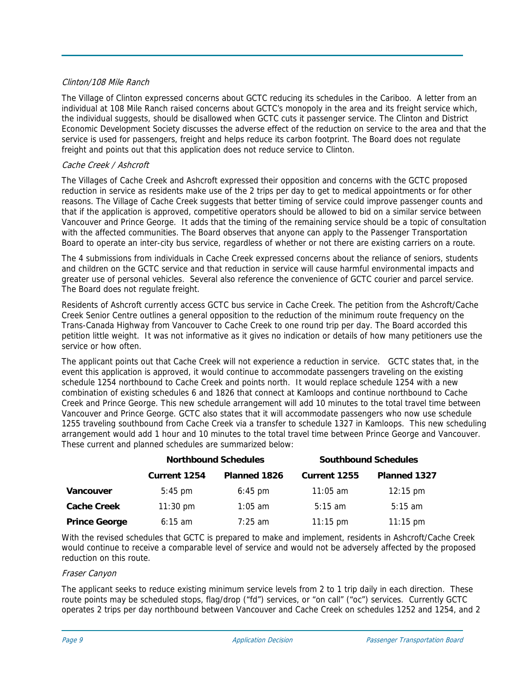## Clinton/108 Mile Ranch

The Village of Clinton expressed concerns about GCTC reducing its schedules in the Cariboo. A letter from an individual at 108 Mile Ranch raised concerns about GCTC's monopoly in the area and its freight service which, the individual suggests, should be disallowed when GCTC cuts it passenger service. The Clinton and District Economic Development Society discusses the adverse effect of the reduction on service to the area and that the service is used for passengers, freight and helps reduce its carbon footprint. The Board does not regulate freight and points out that this application does not reduce service to Clinton.

## Cache Creek / Ashcroft

The Villages of Cache Creek and Ashcroft expressed their opposition and concerns with the GCTC proposed reduction in service as residents make use of the 2 trips per day to get to medical appointments or for other reasons. The Village of Cache Creek suggests that better timing of service could improve passenger counts and that if the application is approved, competitive operators should be allowed to bid on a similar service between Vancouver and Prince George. It adds that the timing of the remaining service should be a topic of consultation with the affected communities. The Board observes that anyone can apply to the Passenger Transportation Board to operate an inter-city bus service, regardless of whether or not there are existing carriers on a route.

The 4 submissions from individuals in Cache Creek expressed concerns about the reliance of seniors, students and children on the GCTC service and that reduction in service will cause harmful environmental impacts and greater use of personal vehicles. Several also reference the convenience of GCTC courier and parcel service. The Board does not regulate freight.

Residents of Ashcroft currently access GCTC bus service in Cache Creek. The petition from the Ashcroft/Cache Creek Senior Centre outlines a general opposition to the reduction of the minimum route frequency on the Trans-Canada Highway from Vancouver to Cache Creek to one round trip per day. The Board accorded this petition little weight. It was not informative as it gives no indication or details of how many petitioners use the service or how often.

The applicant points out that Cache Creek will not experience a reduction in service. GCTC states that, in the event this application is approved, it would continue to accommodate passengers traveling on the existing schedule 1254 northbound to Cache Creek and points north. It would replace schedule 1254 with a new combination of existing schedules 6 and 1826 that connect at Kamloops and continue northbound to Cache Creek and Prince George. This new schedule arrangement will add 10 minutes to the total travel time between Vancouver and Prince George. GCTC also states that it will accommodate passengers who now use schedule 1255 traveling southbound from Cache Creek via a transfer to schedule 1327 in Kamloops. This new scheduling arrangement would add 1 hour and 10 minutes to the total travel time between Prince George and Vancouver. These current and planned schedules are summarized below:

|                      | <b>Northbound Schedules</b> |                   | <b>Southbound Schedules</b> |                    |
|----------------------|-----------------------------|-------------------|-----------------------------|--------------------|
|                      | <b>Current 1254</b>         | Planned 1826      | Current 1255                | Planned 1327       |
| Vancouver            | $5:45$ pm                   | $6:45 \text{ pm}$ | $11:05$ am                  | $12:15 \text{ pm}$ |
| <b>Cache Creek</b>   | $11:30 \text{ pm}$          | $1:05$ am         | $5:15 \text{ am}$           | $5:15 \text{ am}$  |
| <b>Prince George</b> | $6:15 \text{ am}$           | $7:25$ am         | $11:15 \text{ pm}$          | $11:15 \text{ pm}$ |

With the revised schedules that GCTC is prepared to make and implement, residents in Ashcroft/Cache Creek would continue to receive a comparable level of service and would not be adversely affected by the proposed reduction on this route.

## Fraser Canyon

The applicant seeks to reduce existing minimum service levels from 2 to 1 trip daily in each direction. These route points may be scheduled stops, flag/drop ("fd") services, or "on call" ("oc") services. Currently GCTC operates 2 trips per day northbound between Vancouver and Cache Creek on schedules 1252 and 1254, and 2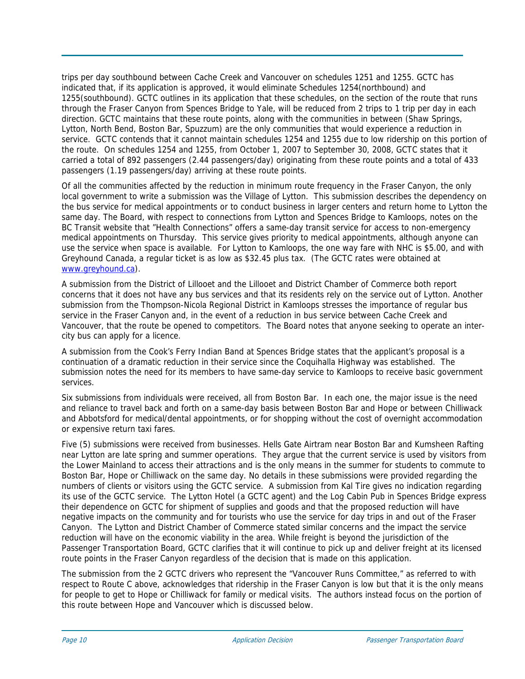trips per day southbound between Cache Creek and Vancouver on schedules 1251 and 1255. GCTC has indicated that, if its application is approved, it would eliminate Schedules 1254(northbound) and 1255(southbound). GCTC outlines in its application that these schedules, on the section of the route that runs through the Fraser Canyon from Spences Bridge to Yale, will be reduced from 2 trips to 1 trip per day in each direction. GCTC maintains that these route points, along with the communities in between (Shaw Springs, Lytton, North Bend, Boston Bar, Spuzzum) are the only communities that would experience a reduction in service. GCTC contends that it cannot maintain schedules 1254 and 1255 due to low ridership on this portion of the route. On schedules 1254 and 1255, from October 1, 2007 to September 30, 2008, GCTC states that it carried a total of 892 passengers (2.44 passengers/day) originating from these route points and a total of 433 passengers (1.19 passengers/day) arriving at these route points.

Of all the communities affected by the reduction in minimum route frequency in the Fraser Canyon, the only local government to write a submission was the Village of Lytton. This submission describes the dependency on the bus service for medical appointments or to conduct business in larger centers and return home to Lytton the same day. The Board, with respect to connections from Lytton and Spences Bridge to Kamloops, notes on the BC Transit website that "Health Connections" offers a same-day transit service for access to non-emergency medical appointments on Thursday. This service gives priority to medical appointments, although anyone can use the service when space is available. For Lytton to Kamloops, the one way fare with NHC is \$5.00, and with Greyhound Canada, a regular ticket is as low as \$32.45 plus tax. (The GCTC rates were obtained at [www.greyhound.ca](http://www.greyhound.ca/)).

A submission from the District of Lillooet and the Lillooet and District Chamber of Commerce both report concerns that it does not have any bus services and that its residents rely on the service out of Lytton. Another submission from the Thompson-Nicola Regional District in Kamloops stresses the importance of regular bus service in the Fraser Canyon and, in the event of a reduction in bus service between Cache Creek and Vancouver, that the route be opened to competitors. The Board notes that anyone seeking to operate an intercity bus can apply for a licence.

A submission from the Cook's Ferry Indian Band at Spences Bridge states that the applicant's proposal is a continuation of a dramatic reduction in their service since the Coquihalla Highway was established. The submission notes the need for its members to have same-day service to Kamloops to receive basic government services.

Six submissions from individuals were received, all from Boston Bar. In each one, the major issue is the need and reliance to travel back and forth on a same-day basis between Boston Bar and Hope or between Chilliwack and Abbotsford for medical/dental appointments, or for shopping without the cost of overnight accommodation or expensive return taxi fares.

Five (5) submissions were received from businesses. Hells Gate Airtram near Boston Bar and Kumsheen Rafting near Lytton are late spring and summer operations. They argue that the current service is used by visitors from the Lower Mainland to access their attractions and is the only means in the summer for students to commute to Boston Bar, Hope or Chilliwack on the same day. No details in these submissions were provided regarding the numbers of clients or visitors using the GCTC service. A submission from Kal Tire gives no indication regarding its use of the GCTC service. The Lytton Hotel (a GCTC agent) and the Log Cabin Pub in Spences Bridge express their dependence on GCTC for shipment of supplies and goods and that the proposed reduction will have negative impacts on the community and for tourists who use the service for day trips in and out of the Fraser Canyon. The Lytton and District Chamber of Commerce stated similar concerns and the impact the service reduction will have on the economic viability in the area. While freight is beyond the jurisdiction of the Passenger Transportation Board, GCTC clarifies that it will continue to pick up and deliver freight at its licensed route points in the Fraser Canyon regardless of the decision that is made on this application.

The submission from the 2 GCTC drivers who represent the "Vancouver Runs Committee," as referred to with respect to Route C above, acknowledges that ridership in the Fraser Canyon is low but that it is the only means for people to get to Hope or Chilliwack for family or medical visits. The authors instead focus on the portion of this route between Hope and Vancouver which is discussed below.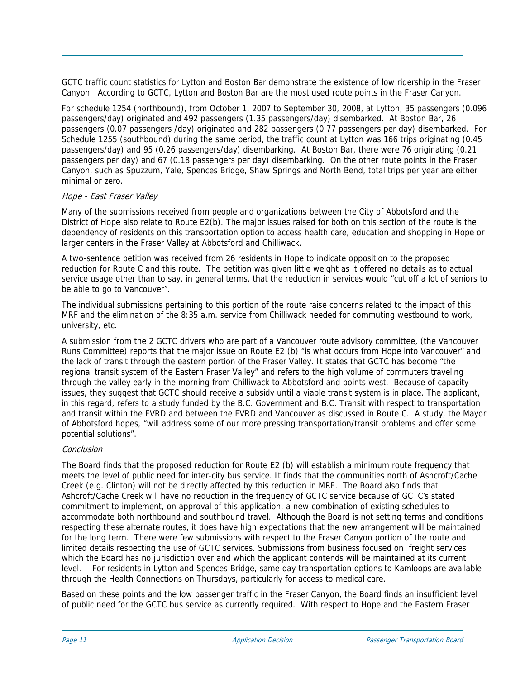GCTC traffic count statistics for Lytton and Boston Bar demonstrate the existence of low ridership in the Fraser Canyon. According to GCTC, Lytton and Boston Bar are the most used route points in the Fraser Canyon.

For schedule 1254 (northbound), from October 1, 2007 to September 30, 2008, at Lytton, 35 passengers (0.096 passengers/day) originated and 492 passengers (1.35 passengers/day) disembarked. At Boston Bar, 26 passengers (0.07 passengers /day) originated and 282 passengers (0.77 passengers per day) disembarked. For Schedule 1255 (southbound) during the same period, the traffic count at Lytton was 166 trips originating (0.45 passengers/day) and 95 (0.26 passengers/day) disembarking. At Boston Bar, there were 76 originating (0.21 passengers per day) and 67 (0.18 passengers per day) disembarking. On the other route points in the Fraser Canyon, such as Spuzzum, Yale, Spences Bridge, Shaw Springs and North Bend, total trips per year are either minimal or zero.

# Hope - East Fraser Valley

Many of the submissions received from people and organizations between the City of Abbotsford and the District of Hope also relate to Route E2(b). The major issues raised for both on this section of the route is the dependency of residents on this transportation option to access health care, education and shopping in Hope or larger centers in the Fraser Valley at Abbotsford and Chilliwack.

A two-sentence petition was received from 26 residents in Hope to indicate opposition to the proposed reduction for Route C and this route. The petition was given little weight as it offered no details as to actual service usage other than to say, in general terms, that the reduction in services would "cut off a lot of seniors to be able to go to Vancouver".

The individual submissions pertaining to this portion of the route raise concerns related to the impact of this MRF and the elimination of the 8:35 a.m. service from Chilliwack needed for commuting westbound to work, university, etc.

A submission from the 2 GCTC drivers who are part of a Vancouver route advisory committee, (the Vancouver Runs Committee) reports that the major issue on Route E2 (b) "is what occurs from Hope into Vancouver" and the lack of transit through the eastern portion of the Fraser Valley. It states that GCTC has become "the regional transit system of the Eastern Fraser Valley" and refers to the high volume of commuters traveling through the valley early in the morning from Chilliwack to Abbotsford and points west. Because of capacity issues, they suggest that GCTC should receive a subsidy until a viable transit system is in place. The applicant, in this regard, refers to a study funded by the B.C. Government and B.C. Transit with respect to transportation and transit within the FVRD and between the FVRD and Vancouver as discussed in Route C. A study, the Mayor of Abbotsford hopes, "will address some of our more pressing transportation/transit problems and offer some potential solutions".

# Conclusion

The Board finds that the proposed reduction for Route E2 (b) will establish a minimum route frequency that meets the level of public need for inter-city bus service. It finds that the communities north of Ashcroft/Cache Creek (e.g. Clinton) will not be directly affected by this reduction in MRF. The Board also finds that Ashcroft/Cache Creek will have no reduction in the frequency of GCTC service because of GCTC's stated commitment to implement, on approval of this application, a new combination of existing schedules to accommodate both northbound and southbound travel. Although the Board is not setting terms and conditions respecting these alternate routes, it does have high expectations that the new arrangement will be maintained for the long term. There were few submissions with respect to the Fraser Canyon portion of the route and limited details respecting the use of GCTC services. Submissions from business focused on freight services which the Board has no jurisdiction over and which the applicant contends will be maintained at its current level. For residents in Lytton and Spences Bridge, same day transportation options to Kamloops are available through the Health Connections on Thursdays, particularly for access to medical care.

Based on these points and the low passenger traffic in the Fraser Canyon, the Board finds an insufficient level of public need for the GCTC bus service as currently required. With respect to Hope and the Eastern Fraser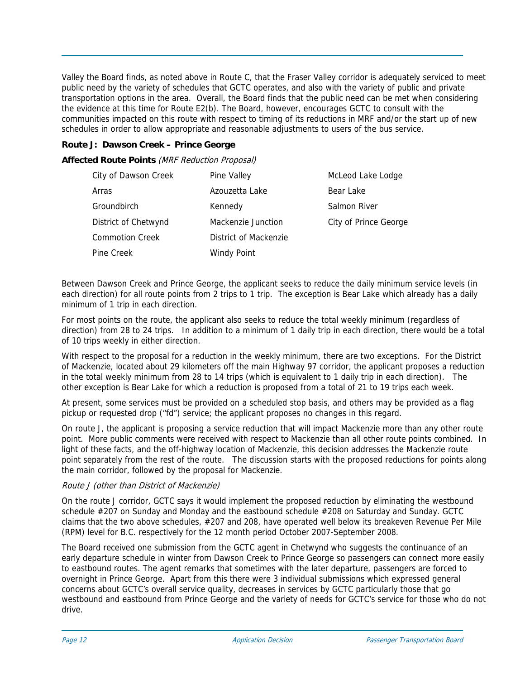Valley the Board finds, as noted above in Route C, that the Fraser Valley corridor is adequately serviced to meet public need by the variety of schedules that GCTC operates, and also with the variety of public and private transportation options in the area. Overall, the Board finds that the public need can be met when considering the evidence at this time for Route E2(b). The Board, however, encourages GCTC to consult with the communities impacted on this route with respect to timing of its reductions in MRF and/or the start up of new schedules in order to allow appropriate and reasonable adjustments to users of the bus service.

# **Route J: Dawson Creek – Prince George**

**Affected Route Points** (MRF Reduction Proposal)

| City of Dawson Creek   | Pine Valley           | McLeod Lake Lodge     |
|------------------------|-----------------------|-----------------------|
| Arras                  | Azouzetta Lake        | Bear Lake             |
| Groundbirch            | Kennedy               | Salmon River          |
| District of Chetwynd   | Mackenzie Junction    | City of Prince George |
| <b>Commotion Creek</b> | District of Mackenzie |                       |
| Pine Creek             | <b>Windy Point</b>    |                       |

Between Dawson Creek and Prince George, the applicant seeks to reduce the daily minimum service levels (in each direction) for all route points from 2 trips to 1 trip. The exception is Bear Lake which already has a daily minimum of 1 trip in each direction.

For most points on the route, the applicant also seeks to reduce the total weekly minimum (regardless of direction) from 28 to 24 trips. In addition to a minimum of 1 daily trip in each direction, there would be a total of 10 trips weekly in either direction.

With respect to the proposal for a reduction in the weekly minimum, there are two exceptions. For the District of Mackenzie, located about 29 kilometers off the main Highway 97 corridor, the applicant proposes a reduction in the total weekly minimum from 28 to 14 trips (which is equivalent to 1 daily trip in each direction). The other exception is Bear Lake for which a reduction is proposed from a total of 21 to 19 trips each week.

At present, some services must be provided on a scheduled stop basis, and others may be provided as a flag pickup or requested drop ("fd") service; the applicant proposes no changes in this regard.

On route J, the applicant is proposing a service reduction that will impact Mackenzie more than any other route point. More public comments were received with respect to Mackenzie than all other route points combined. In light of these facts, and the off-highway location of Mackenzie, this decision addresses the Mackenzie route point separately from the rest of the route. The discussion starts with the proposed reductions for points along the main corridor, followed by the proposal for Mackenzie.

# Route J (other than District of Mackenzie)

On the route J corridor, GCTC says it would implement the proposed reduction by eliminating the westbound schedule #207 on Sunday and Monday and the eastbound schedule #208 on Saturday and Sunday. GCTC claims that the two above schedules, #207 and 208, have operated well below its breakeven Revenue Per Mile (RPM) level for B.C. respectively for the 12 month period October 2007-September 2008.

The Board received one submission from the GCTC agent in Chetwynd who suggests the continuance of an early departure schedule in winter from Dawson Creek to Prince George so passengers can connect more easily to eastbound routes. The agent remarks that sometimes with the later departure, passengers are forced to overnight in Prince George. Apart from this there were 3 individual submissions which expressed general concerns about GCTC's overall service quality, decreases in services by GCTC particularly those that go westbound and eastbound from Prince George and the variety of needs for GCTC's service for those who do not drive.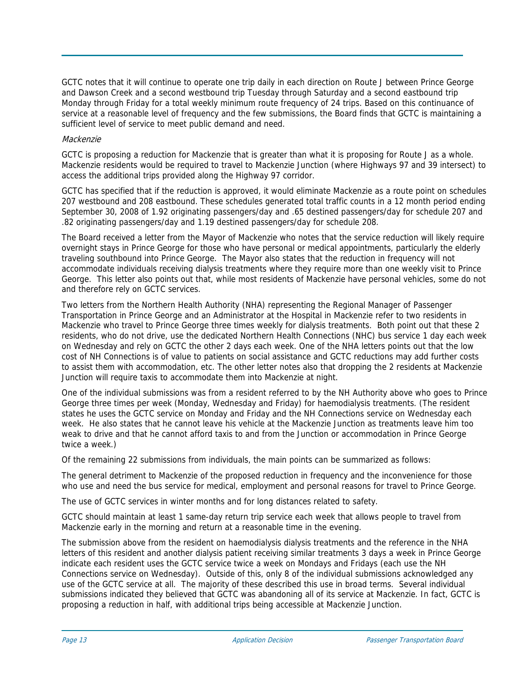GCTC notes that it will continue to operate one trip daily in each direction on Route J between Prince George and Dawson Creek and a second westbound trip Tuesday through Saturday and a second eastbound trip Monday through Friday for a total weekly minimum route frequency of 24 trips. Based on this continuance of service at a reasonable level of frequency and the few submissions, the Board finds that GCTC is maintaining a sufficient level of service to meet public demand and need.

## Mackenzie

GCTC is proposing a reduction for Mackenzie that is greater than what it is proposing for Route J as a whole. Mackenzie residents would be required to travel to Mackenzie Junction (where Highways 97 and 39 intersect) to access the additional trips provided along the Highway 97 corridor.

GCTC has specified that if the reduction is approved, it would eliminate Mackenzie as a route point on schedules 207 westbound and 208 eastbound. These schedules generated total traffic counts in a 12 month period ending September 30, 2008 of 1.92 originating passengers/day and .65 destined passengers/day for schedule 207 and .82 originating passengers/day and 1.19 destined passengers/day for schedule 208.

The Board received a letter from the Mayor of Mackenzie who notes that the service reduction will likely require overnight stays in Prince George for those who have personal or medical appointments, particularly the elderly traveling southbound into Prince George. The Mayor also states that the reduction in frequency will not accommodate individuals receiving dialysis treatments where they require more than one weekly visit to Prince George. This letter also points out that, while most residents of Mackenzie have personal vehicles, some do not and therefore rely on GCTC services.

Two letters from the Northern Health Authority (NHA) representing the Regional Manager of Passenger Transportation in Prince George and an Administrator at the Hospital in Mackenzie refer to two residents in Mackenzie who travel to Prince George three times weekly for dialysis treatments. Both point out that these 2 residents, who do not drive, use the dedicated Northern Health Connections (NHC) bus service 1 day each week on Wednesday and rely on GCTC the other 2 days each week. One of the NHA letters points out that the low cost of NH Connections is of value to patients on social assistance and GCTC reductions may add further costs to assist them with accommodation, etc. The other letter notes also that dropping the 2 residents at Mackenzie Junction will require taxis to accommodate them into Mackenzie at night.

One of the individual submissions was from a resident referred to by the NH Authority above who goes to Prince George three times per week (Monday, Wednesday and Friday) for haemodialysis treatments. (The resident states he uses the GCTC service on Monday and Friday and the NH Connections service on Wednesday each week. He also states that he cannot leave his vehicle at the Mackenzie Junction as treatments leave him too weak to drive and that he cannot afford taxis to and from the Junction or accommodation in Prince George twice a week.)

Of the remaining 22 submissions from individuals, the main points can be summarized as follows:

The general detriment to Mackenzie of the proposed reduction in frequency and the inconvenience for those who use and need the bus service for medical, employment and personal reasons for travel to Prince George.

The use of GCTC services in winter months and for long distances related to safety.

GCTC should maintain at least 1 same-day return trip service each week that allows people to travel from Mackenzie early in the morning and return at a reasonable time in the evening.

The submission above from the resident on haemodialysis dialysis treatments and the reference in the NHA letters of this resident and another dialysis patient receiving similar treatments 3 days a week in Prince George indicate each resident uses the GCTC service twice a week on Mondays and Fridays (each use the NH Connections service on Wednesday). Outside of this, only 8 of the individual submissions acknowledged any use of the GCTC service at all. The majority of these described this use in broad terms. Several individual submissions indicated they believed that GCTC was abandoning all of its service at Mackenzie. In fact, GCTC is proposing a reduction in half, with additional trips being accessible at Mackenzie Junction.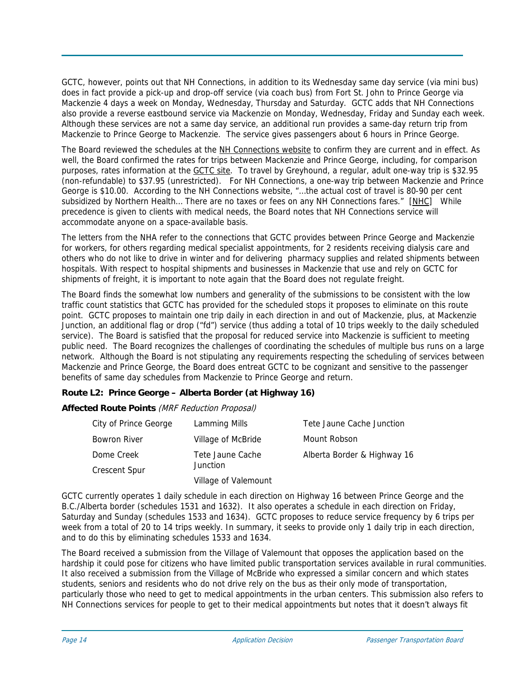GCTC, however, points out that NH Connections, in addition to its Wednesday same day service (via mini bus) does in fact provide a pick-up and drop-off service (via coach bus) from Fort St. John to Prince George via Mackenzie 4 days a week on Monday, Wednesday, Thursday and Saturday. GCTC adds that NH Connections also provide a reverse eastbound service via Mackenzie on Monday, Wednesday, Friday and Sunday each week. Although these services are not a same day service, an additional run provides a same-day return trip from Mackenzie to Prince George to Mackenzie. The service gives passengers about 6 hours in Prince George.

The Board reviewed the schedules at the [NH Connections website](http://www.northernhealth.ca/Your_Health/Programs/NH_Connections/default.asp) to confirm they are current and in effect. As well, the Board confirmed the rates for trips between Mackenzie and Prince George, including, for comparison purposes, rates information at the [GCTC site.](http://www.greyhound.ca/home/) To travel by Greyhound, a regular, adult one-way trip is \$32.95 (non-refundable) to \$37.95 (unrestricted). For NH Connections, a one-way trip between Mackenzie and Prince George is \$10.00. According to the NH Connections website, "…the actual cost of travel is 80-90 per cent subsidized by Northern Health… There are no taxes or fees on any NH Connections fares." [\[NHC\]](http://www.northernhealth.ca/Your_Health/Programs/NH_Connections/20060628NHCCostofTravel.asp) While precedence is given to clients with medical needs, the Board notes that NH Connections service will accommodate anyone on a space-available basis.

The letters from the NHA refer to the connections that GCTC provides between Prince George and Mackenzie for workers, for others regarding medical specialist appointments, for 2 residents receiving dialysis care and others who do not like to drive in winter and for delivering pharmacy supplies and related shipments between hospitals. With respect to hospital shipments and businesses in Mackenzie that use and rely on GCTC for shipments of freight, it is important to note again that the Board does not regulate freight.

The Board finds the somewhat low numbers and generality of the submissions to be consistent with the low traffic count statistics that GCTC has provided for the scheduled stops it proposes to eliminate on this route point. GCTC proposes to maintain one trip daily in each direction in and out of Mackenzie, plus, at Mackenzie Junction, an additional flag or drop ("fd") service (thus adding a total of 10 trips weekly to the daily scheduled service). The Board is satisfied that the proposal for reduced service into Mackenzie is sufficient to meeting public need. The Board recognizes the challenges of coordinating the schedules of multiple bus runs on a large network. Although the Board is not stipulating any requirements respecting the scheduling of services between Mackenzie and Prince George, the Board does entreat GCTC to be cognizant and sensitive to the passenger benefits of same day schedules from Mackenzie to Prince George and return.

# **Route L2: Prince George – Alberta Border (at Highway 16)**

**Affected Route Points** (MRF Reduction Proposal)

| City of Prince George | Lamming Mills        | Tete Jaune Cache Junction   |
|-----------------------|----------------------|-----------------------------|
| Bowron River          | Village of McBride   | Mount Robson                |
| Dome Creek            | Tete Jaune Cache     | Alberta Border & Highway 16 |
| Crescent Spur         | <b>Junction</b>      |                             |
|                       | Village of Valemount |                             |

GCTC currently operates 1 daily schedule in each direction on Highway 16 between Prince George and the B.C./Alberta border (schedules 1531 and 1632). It also operates a schedule in each direction on Friday, Saturday and Sunday (schedules 1533 and 1634). GCTC proposes to reduce service frequency by 6 trips per week from a total of 20 to 14 trips weekly. In summary, it seeks to provide only 1 daily trip in each direction, and to do this by eliminating schedules 1533 and 1634.

The Board received a submission from the Village of Valemount that opposes the application based on the hardship it could pose for citizens who have limited public transportation services available in rural communities. It also received a submission from the Village of McBride who expressed a similar concern and which states students, seniors and residents who do not drive rely on the bus as their only mode of transportation, particularly those who need to get to medical appointments in the urban centers. This submission also refers to NH Connections services for people to get to their medical appointments but notes that it doesn't always fit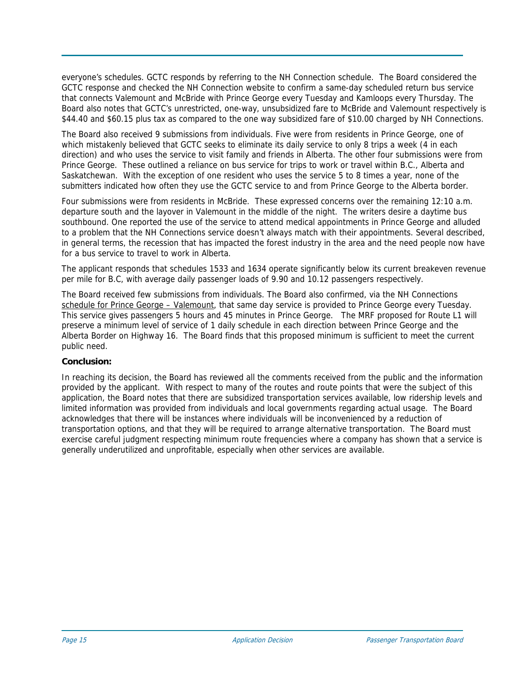everyone's schedules. GCTC responds by referring to the NH Connection schedule. The Board considered the GCTC response and checked the NH Connection website to confirm a same-day scheduled return bus service that connects Valemount and McBride with Prince George every Tuesday and Kamloops every Thursday. The Board also notes that GCTC's unrestricted, one-way, unsubsidized fare to McBride and Valemount respectively is \$44.40 and \$60.15 plus tax as compared to the one way subsidized fare of \$10.00 charged by NH Connections.

The Board also received 9 submissions from individuals. Five were from residents in Prince George, one of which mistakenly believed that GCTC seeks to eliminate its daily service to only 8 trips a week (4 in each direction) and who uses the service to visit family and friends in Alberta. The other four submissions were from Prince George. These outlined a reliance on bus service for trips to work or travel within B.C., Alberta and Saskatchewan. With the exception of one resident who uses the service 5 to 8 times a year, none of the submitters indicated how often they use the GCTC service to and from Prince George to the Alberta border.

Four submissions were from residents in McBride. These expressed concerns over the remaining 12:10 a.m. departure south and the layover in Valemount in the middle of the night. The writers desire a daytime bus southbound. One reported the use of the service to attend medical appointments in Prince George and alluded to a problem that the NH Connections service doesn't always match with their appointments. Several described, in general terms, the recession that has impacted the forest industry in the area and the need people now have for a bus service to travel to work in Alberta.

The applicant responds that schedules 1533 and 1634 operate significantly below its current breakeven revenue per mile for B.C, with average daily passenger loads of 9.90 and 10.12 passengers respectively.

The Board received few submissions from individuals. The Board also confirmed, via the NH Connections [schedule for Prince George – Valemount,](http://www.northernhealth.ca/Your_Health/Programs/NH_Connections/Map-VtoPG.asp) that same day service is provided to Prince George every Tuesday. This service gives passengers 5 hours and 45 minutes in Prince George. The MRF proposed for Route L1 will preserve a minimum level of service of 1 daily schedule in each direction between Prince George and the Alberta Border on Highway 16. The Board finds that this proposed minimum is sufficient to meet the current public need.

# **Conclusion:**

In reaching its decision, the Board has reviewed all the comments received from the public and the information provided by the applicant. With respect to many of the routes and route points that were the subject of this application, the Board notes that there are subsidized transportation services available, low ridership levels and limited information was provided from individuals and local governments regarding actual usage. The Board acknowledges that there will be instances where individuals will be inconvenienced by a reduction of transportation options, and that they will be required to arrange alternative transportation. The Board must exercise careful judgment respecting minimum route frequencies where a company has shown that a service is generally underutilized and unprofitable, especially when other services are available.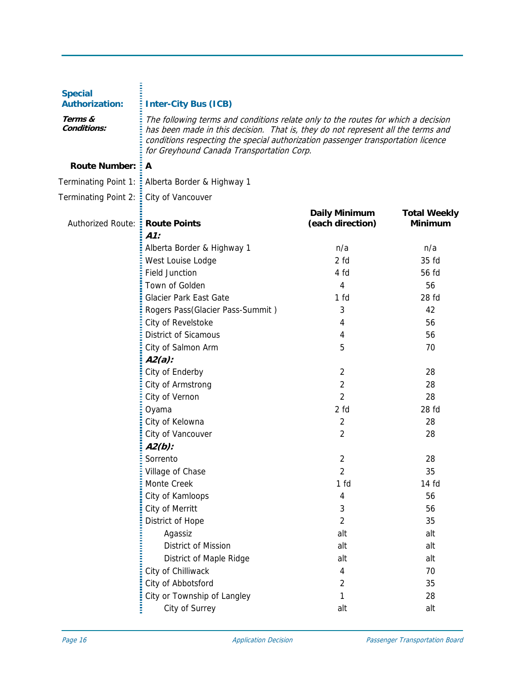| <b>Special</b><br><b>Authorization:</b> | <b>Inter-City Bus (ICB)</b>                                                                                                                                                                                                                                                                            |                                   |                                       |
|-----------------------------------------|--------------------------------------------------------------------------------------------------------------------------------------------------------------------------------------------------------------------------------------------------------------------------------------------------------|-----------------------------------|---------------------------------------|
| Terms &<br>Conditions:                  | The following terms and conditions relate only to the routes for which a decision<br>has been made in this decision. That is, they do not represent all the terms and<br>conditions respecting the special authorization passenger transportation licence<br>for Greyhound Canada Transportation Corp. |                                   |                                       |
| <b>Route Number:</b>                    | A                                                                                                                                                                                                                                                                                                      |                                   |                                       |
|                                         | Terminating Point 1: E Alberta Border & Highway 1                                                                                                                                                                                                                                                      |                                   |                                       |
| Terminating Point 2: :                  | City of Vancouver                                                                                                                                                                                                                                                                                      |                                   |                                       |
| Authorized Route: :                     | <b>Route Points</b>                                                                                                                                                                                                                                                                                    | Daily Minimum<br>(each direction) | <b>Total Weekly</b><br><b>Minimum</b> |
|                                         | $A1$ :                                                                                                                                                                                                                                                                                                 |                                   |                                       |
|                                         | Alberta Border & Highway 1                                                                                                                                                                                                                                                                             | n/a                               | n/a                                   |
|                                         | West Louise Lodge                                                                                                                                                                                                                                                                                      | 2 fd                              | 35 fd                                 |
|                                         | <b>Field Junction</b>                                                                                                                                                                                                                                                                                  | 4 fd                              | 56 fd                                 |
|                                         | Town of Golden                                                                                                                                                                                                                                                                                         | 4                                 | 56                                    |
|                                         | Glacier Park East Gate                                                                                                                                                                                                                                                                                 | 1 <sub>fd</sub>                   | 28 fd                                 |
|                                         | Rogers Pass(Glacier Pass-Summit)                                                                                                                                                                                                                                                                       | 3                                 | 42                                    |
|                                         | City of Revelstoke                                                                                                                                                                                                                                                                                     | 4                                 | 56                                    |
|                                         | <b>District of Sicamous</b>                                                                                                                                                                                                                                                                            | 4                                 | 56                                    |
|                                         | City of Salmon Arm                                                                                                                                                                                                                                                                                     | 5                                 | 70                                    |
|                                         | $A2(a)$ :                                                                                                                                                                                                                                                                                              |                                   |                                       |
|                                         | City of Enderby                                                                                                                                                                                                                                                                                        | $\overline{2}$                    | 28                                    |
|                                         | City of Armstrong                                                                                                                                                                                                                                                                                      | $\overline{2}$                    | 28                                    |
|                                         | City of Vernon                                                                                                                                                                                                                                                                                         | $\overline{2}$                    | 28                                    |
|                                         | Oyama                                                                                                                                                                                                                                                                                                  | 2 fd                              | 28 fd                                 |
|                                         | City of Kelowna                                                                                                                                                                                                                                                                                        | 2                                 | 28                                    |
|                                         | City of Vancouver                                                                                                                                                                                                                                                                                      | 2                                 | 28                                    |
|                                         | $A2(b)$ :                                                                                                                                                                                                                                                                                              |                                   |                                       |
|                                         | Sorrento                                                                                                                                                                                                                                                                                               | $\overline{2}$                    | 28                                    |
|                                         | Village of Chase                                                                                                                                                                                                                                                                                       | $\overline{c}$                    | 35                                    |
|                                         | Monte Creek                                                                                                                                                                                                                                                                                            | 1 <sub>fd</sub>                   | 14 fd                                 |
|                                         | City of Kamloops                                                                                                                                                                                                                                                                                       | 4                                 | 56                                    |
|                                         | City of Merritt                                                                                                                                                                                                                                                                                        | 3                                 | 56                                    |
|                                         | District of Hope                                                                                                                                                                                                                                                                                       | 2                                 | 35                                    |
|                                         | Agassiz                                                                                                                                                                                                                                                                                                | alt                               | alt                                   |
|                                         | District of Mission                                                                                                                                                                                                                                                                                    | alt                               | alt                                   |
|                                         | District of Maple Ridge                                                                                                                                                                                                                                                                                | alt                               | alt                                   |
|                                         | City of Chilliwack                                                                                                                                                                                                                                                                                     | 4                                 | 70                                    |
|                                         | City of Abbotsford                                                                                                                                                                                                                                                                                     | 2                                 | 35                                    |
|                                         | City or Township of Langley                                                                                                                                                                                                                                                                            | 1                                 | 28                                    |
|                                         | City of Surrey                                                                                                                                                                                                                                                                                         | alt                               | alt                                   |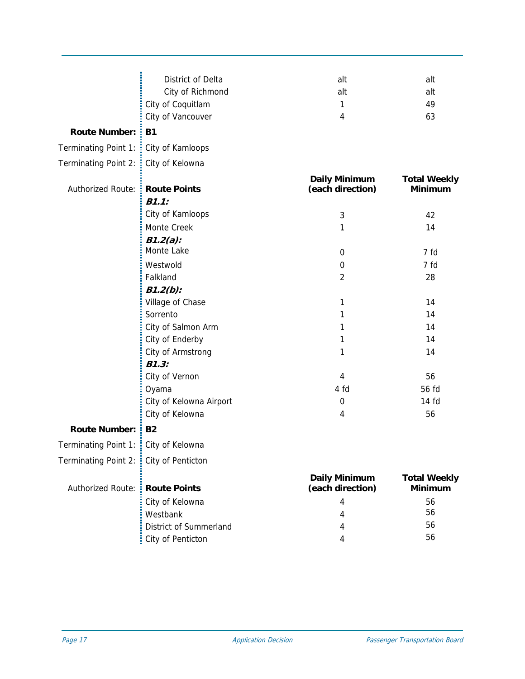|                                        | District of Delta       | alt                                      | alt                                   |
|----------------------------------------|-------------------------|------------------------------------------|---------------------------------------|
|                                        | City of Richmond        | alt                                      | alt                                   |
|                                        | City of Coquitlam       | 1                                        | 49                                    |
|                                        | City of Vancouver       | 4                                        | 63                                    |
| <b>Route Number:</b>                   | <b>B1</b>               |                                          |                                       |
| Terminating Point 1:                   | City of Kamloops        |                                          |                                       |
| <b>Terminating Point 2:</b>            | City of Kelowna         |                                          |                                       |
| <b>Authorized Route:</b>               | <b>Route Points</b>     | <b>Daily Minimum</b><br>(each direction) | <b>Total Weekly</b><br><b>Minimum</b> |
|                                        | B1.1:                   |                                          |                                       |
|                                        | City of Kamloops        | 3                                        | 42                                    |
|                                        | Monte Creek             | 1                                        | 14                                    |
|                                        | $B1.2(a)$ :             |                                          |                                       |
|                                        | Monte Lake              | $\mathbf 0$                              | 7 fd                                  |
|                                        | Westwold                | 0                                        | 7 fd                                  |
|                                        | Falkland                | $\overline{2}$                           | 28                                    |
|                                        | $B1.2(b)$ :             |                                          |                                       |
|                                        | Village of Chase        | 1                                        | 14                                    |
|                                        | Sorrento                | 1                                        | 14                                    |
|                                        | City of Salmon Arm      | 1                                        | 14                                    |
|                                        | City of Enderby         | 1                                        | 14                                    |
|                                        | City of Armstrong       | 1                                        | 14                                    |
|                                        | B1.3:                   |                                          |                                       |
|                                        | City of Vernon          | 4                                        | 56                                    |
|                                        | Oyama                   | 4 fd                                     | 56 fd                                 |
|                                        | City of Kelowna Airport | $\boldsymbol{0}$                         | 14 fd                                 |
|                                        | City of Kelowna         | 4                                        | 56                                    |
| <b>Route Number:</b>                   | <b>B2</b>               |                                          |                                       |
| Terminating Point 1: :                 | City of Kelowna         |                                          |                                       |
| Terminating Point 2: City of Penticton |                         |                                          |                                       |
| <b>Authorized Route:</b>               | <b>Route Points</b>     | <b>Daily Minimum</b><br>(each direction) | <b>Total Weekly</b><br><b>Minimum</b> |
|                                        | City of Kelowna         | 4                                        | 56                                    |
|                                        | Westbank                | 4                                        | 56                                    |
|                                        | District of Summerland  | 4                                        | 56                                    |
|                                        | City of Penticton       | 4                                        | 56                                    |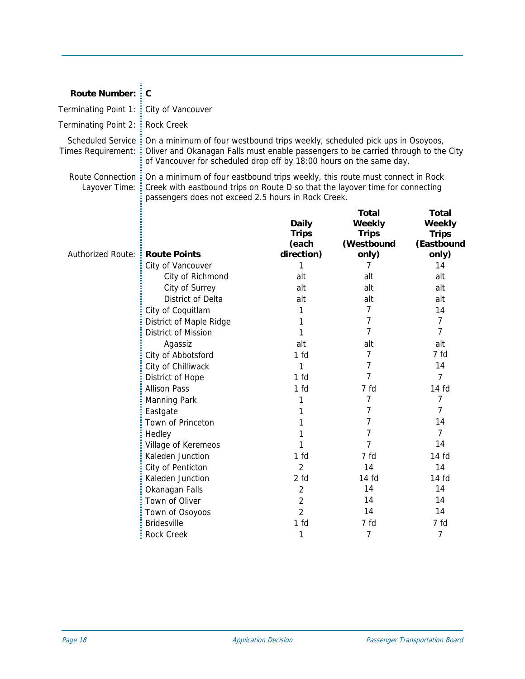| <b>Route Number: :</b>                   | C                                                                                                                                                                                                                                        |                                                                                                                                                                                                                      |                                                        |                                                               |
|------------------------------------------|------------------------------------------------------------------------------------------------------------------------------------------------------------------------------------------------------------------------------------------|----------------------------------------------------------------------------------------------------------------------------------------------------------------------------------------------------------------------|--------------------------------------------------------|---------------------------------------------------------------|
| Terminating Point 1: :                   | City of Vancouver                                                                                                                                                                                                                        |                                                                                                                                                                                                                      |                                                        |                                                               |
| Terminating Point 2: :                   | <b>Rock Creek</b>                                                                                                                                                                                                                        |                                                                                                                                                                                                                      |                                                        |                                                               |
| Scheduled Service:<br>Times Requirement: | On a minimum of four westbound trips weekly, scheduled pick ups in Osoyoos,<br>Oliver and Okanagan Falls must enable passengers to be carried through to the City<br>of Vancouver for scheduled drop off by 18:00 hours on the same day. |                                                                                                                                                                                                                      |                                                        |                                                               |
| Route Connection =<br>Layover Time:      |                                                                                                                                                                                                                                          | On a minimum of four eastbound trips weekly, this route must connect in Rock<br>Creek with eastbound trips on Route D so that the layover time for connecting<br>passengers does not exceed 2.5 hours in Rock Creek. |                                                        |                                                               |
| Authorized Route: <b>Route Points</b>    |                                                                                                                                                                                                                                          | <b>Daily</b><br><b>Trips</b><br>(each<br>direction)                                                                                                                                                                  | Total<br>Weekly<br><b>Trips</b><br>(Westbound<br>only) | <b>Total</b><br>Weekly<br><b>Trips</b><br>(Eastbound<br>only) |
|                                          | City of Vancouver                                                                                                                                                                                                                        | 1                                                                                                                                                                                                                    | 7                                                      | 14                                                            |
|                                          | City of Richmond                                                                                                                                                                                                                         | alt                                                                                                                                                                                                                  | alt                                                    | alt                                                           |
|                                          | City of Surrey                                                                                                                                                                                                                           | alt                                                                                                                                                                                                                  | alt                                                    | alt                                                           |
|                                          | <b>District of Delta</b>                                                                                                                                                                                                                 | alt                                                                                                                                                                                                                  | alt                                                    | alt                                                           |
|                                          | City of Coquitlam                                                                                                                                                                                                                        | 1                                                                                                                                                                                                                    | 7                                                      | 14                                                            |
|                                          | District of Maple Ridge                                                                                                                                                                                                                  | 1                                                                                                                                                                                                                    | 7                                                      | 7                                                             |
|                                          | District of Mission                                                                                                                                                                                                                      | 1                                                                                                                                                                                                                    | 7                                                      | 7                                                             |
|                                          | Agassiz                                                                                                                                                                                                                                  | alt                                                                                                                                                                                                                  | alt                                                    | alt                                                           |
|                                          | City of Abbotsford                                                                                                                                                                                                                       | 1 <sub>fd</sub>                                                                                                                                                                                                      | 7                                                      | 7 fd                                                          |
|                                          | City of Chilliwack                                                                                                                                                                                                                       | 1                                                                                                                                                                                                                    | 7                                                      | 14                                                            |
|                                          | District of Hope                                                                                                                                                                                                                         | 1 <sub>fd</sub>                                                                                                                                                                                                      | 7                                                      | 7                                                             |
|                                          | <b>Allison Pass</b>                                                                                                                                                                                                                      | 1 fd                                                                                                                                                                                                                 | 7 fd                                                   | 14 fd                                                         |
|                                          | <b>Manning Park</b>                                                                                                                                                                                                                      | 1                                                                                                                                                                                                                    | 7                                                      | 7                                                             |
|                                          | Eastgate                                                                                                                                                                                                                                 | 1                                                                                                                                                                                                                    | 7                                                      | 7                                                             |
|                                          | Town of Princeton                                                                                                                                                                                                                        | 1                                                                                                                                                                                                                    | 7                                                      | 14                                                            |
|                                          | Hedley                                                                                                                                                                                                                                   | 1                                                                                                                                                                                                                    | 7                                                      | 7                                                             |
|                                          | Village of Keremeos                                                                                                                                                                                                                      | 1                                                                                                                                                                                                                    | 7                                                      | 14                                                            |
|                                          | Kaleden Junction                                                                                                                                                                                                                         | 1 fd                                                                                                                                                                                                                 | 7 fd                                                   | 14 fd                                                         |
|                                          | City of Penticton                                                                                                                                                                                                                        | 2                                                                                                                                                                                                                    | 14                                                     | 14                                                            |
|                                          | Kaleden Junction                                                                                                                                                                                                                         | 2 fd                                                                                                                                                                                                                 | 14 fd                                                  | 14 fd                                                         |
|                                          | Okanagan Falls                                                                                                                                                                                                                           | $\overline{2}$                                                                                                                                                                                                       | 14                                                     | 14                                                            |
|                                          | Town of Oliver                                                                                                                                                                                                                           | $\overline{2}$                                                                                                                                                                                                       | 14                                                     | 14                                                            |
|                                          | Town of Osoyoos                                                                                                                                                                                                                          | $\overline{2}$                                                                                                                                                                                                       | 14                                                     | 14                                                            |
|                                          | <b>Bridesville</b>                                                                                                                                                                                                                       | 1 fd                                                                                                                                                                                                                 | 7 fd                                                   | 7 fd                                                          |
|                                          | Rock Creek                                                                                                                                                                                                                               | 1                                                                                                                                                                                                                    | $\overline{7}$                                         | $\overline{7}$                                                |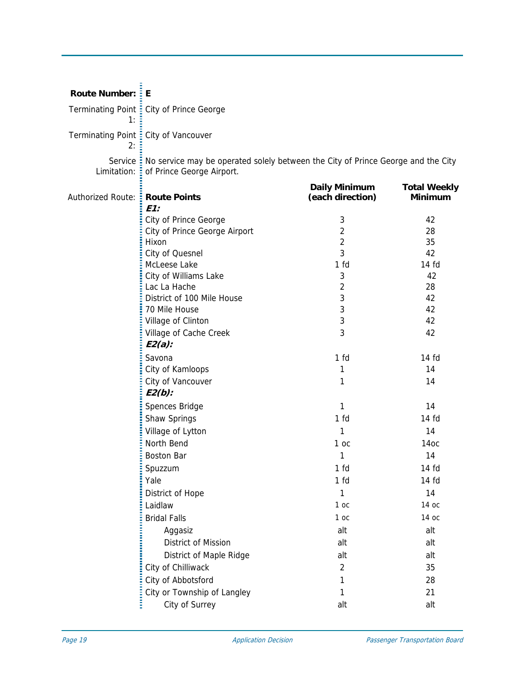| <b>Route Number: : E</b>                |                                                                                                                        |                                          |                                       |
|-----------------------------------------|------------------------------------------------------------------------------------------------------------------------|------------------------------------------|---------------------------------------|
| 1:                                      | Terminating Point : City of Prince George                                                                              |                                          |                                       |
| 2:                                      | Terminating Point : City of Vancouver                                                                                  |                                          |                                       |
| Limitation:                             | Service: No service may be operated solely between the City of Prince George and the City<br>of Prince George Airport. |                                          |                                       |
| Authorized Route: <b>E Route Points</b> | E1:                                                                                                                    | <b>Daily Minimum</b><br>(each direction) | <b>Total Weekly</b><br><b>Minimum</b> |
|                                         | City of Prince George                                                                                                  | 3                                        | 42                                    |
|                                         | City of Prince George Airport                                                                                          | $\overline{2}$                           | 28                                    |
|                                         | Hixon                                                                                                                  | $\overline{2}$                           | 35                                    |
|                                         | City of Quesnel                                                                                                        | 3                                        | 42                                    |
|                                         | McLeese Lake                                                                                                           | 1 <sub>fd</sub>                          | $14f$ d                               |
|                                         | City of Williams Lake                                                                                                  | 3                                        | 42                                    |
|                                         | Lac La Hache                                                                                                           | $\sqrt{2}$                               | 28                                    |
|                                         | District of 100 Mile House                                                                                             | 3                                        | 42                                    |
|                                         | 70 Mile House                                                                                                          | 3                                        | 42                                    |
|                                         | Village of Clinton                                                                                                     | 3                                        | 42                                    |
|                                         | Village of Cache Creek<br>$E2(a)$ :                                                                                    | 3                                        | 42                                    |
|                                         | Savona                                                                                                                 | 1 fd                                     | 14 fd                                 |
|                                         | City of Kamloops                                                                                                       | 1                                        | 14                                    |
|                                         | City of Vancouver<br>$E2(b)$ :                                                                                         | 1                                        | 14                                    |
|                                         | Spences Bridge                                                                                                         | 1                                        | 14                                    |
|                                         | Shaw Springs                                                                                                           | 1 fd                                     | 14 fd                                 |
|                                         | Village of Lytton                                                                                                      | 1                                        | 14                                    |
|                                         | North Bend                                                                                                             | 1 oc                                     | 14oc                                  |
|                                         | <b>Boston Bar</b>                                                                                                      | 1                                        | 14                                    |
|                                         | Spuzzum                                                                                                                | 1 <sub>fd</sub>                          | 14 fd                                 |
|                                         | Yale                                                                                                                   | 1 fd                                     | 14 fd                                 |
|                                         | District of Hope                                                                                                       | 1                                        | 14                                    |
|                                         | Laidlaw                                                                                                                | 1oc                                      | 14 oc                                 |
|                                         | <b>Bridal Falls</b>                                                                                                    | 1 <sub>oc</sub>                          | 14 ос                                 |
|                                         | Aggasiz                                                                                                                | alt                                      | alt                                   |
|                                         | District of Mission                                                                                                    | alt                                      | alt                                   |
|                                         |                                                                                                                        | alt                                      | alt                                   |
|                                         | District of Maple Ridge                                                                                                |                                          |                                       |
|                                         | City of Chilliwack                                                                                                     | $\overline{2}$                           | 35                                    |
|                                         | City of Abbotsford                                                                                                     | 1                                        | 28                                    |
|                                         | City or Township of Langley                                                                                            | 1                                        | 21                                    |
|                                         | City of Surrey                                                                                                         | alt                                      | alt                                   |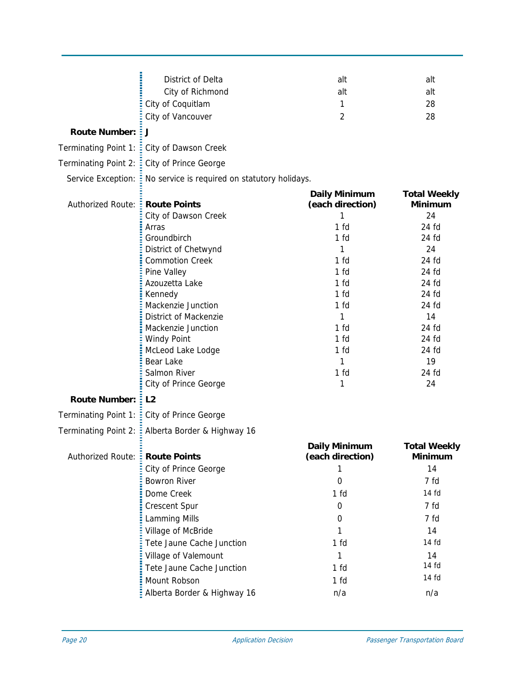|                                  | District of Delta<br>City of Richmond<br>City of Coquitlam<br>City of Vancouver | alt<br>alt<br>1<br>2                     | alt<br>alt<br>28<br>28                |
|----------------------------------|---------------------------------------------------------------------------------|------------------------------------------|---------------------------------------|
| <b>Route Number:</b>             | EJ.                                                                             |                                          |                                       |
| Terminating Point 1:             | : City of Dawson Creek                                                          |                                          |                                       |
| Terminating Point 2:             | City of Prince George                                                           |                                          |                                       |
|                                  | Service Exception: : No service is required on statutory holidays.              |                                          |                                       |
| <b>Authorized Route:</b>         | <b>Route Points</b>                                                             | <b>Daily Minimum</b><br>(each direction) | <b>Total Weekly</b><br><b>Minimum</b> |
|                                  | City of Dawson Creek                                                            | 1<br>1 <sub>fd</sub>                     | 24<br>24 fd                           |
|                                  | Arras<br>Groundbirch                                                            | 1 fd                                     | 24 fd                                 |
|                                  | District of Chetwynd                                                            | 1                                        | 24                                    |
|                                  | <b>Commotion Creek</b>                                                          | 1 fd                                     | 24 fd                                 |
|                                  | Pine Valley                                                                     | 1 fd                                     | 24 fd                                 |
|                                  | Azouzetta Lake                                                                  | 1 fd                                     | 24 fd                                 |
|                                  | Kennedy                                                                         | 1 fd                                     | 24 fd                                 |
|                                  | Mackenzie Junction                                                              | 1 fd                                     | 24 fd                                 |
|                                  | District of Mackenzie                                                           | 1                                        | 14                                    |
|                                  | Mackenzie Junction                                                              | 1 fd                                     | 24 fd                                 |
|                                  | <b>Windy Point</b>                                                              | 1 fd                                     | $24$ fd                               |
|                                  | McLeod Lake Lodge                                                               | 1 fd                                     | 24 fd                                 |
|                                  | Bear Lake                                                                       | 1                                        | 19                                    |
|                                  | Salmon River                                                                    | 1 <sub>fd</sub>                          | 24 fd                                 |
|                                  | City of Prince George                                                           | 1                                        | 24                                    |
| <b>Route Number:</b>             | $E_{2}$                                                                         |                                          |                                       |
|                                  | Terminating Point 1: : City of Prince George                                    |                                          |                                       |
|                                  | Terminating Point 2: : Alberta Border & Highway 16                              |                                          |                                       |
| Authorized Route: : Route Points |                                                                                 | <b>Daily Minimum</b><br>(each direction) | <b>Total Weekly</b><br><b>Minimum</b> |
|                                  | City of Prince George                                                           |                                          | 14                                    |
|                                  | <b>Bowron River</b>                                                             | 0                                        | 7 fd                                  |
|                                  | Dome Creek                                                                      | 1 <sub>fd</sub>                          | 14 fd                                 |
|                                  | <b>Crescent Spur</b>                                                            | 0                                        | 7 fd                                  |
|                                  | <b>Lamming Mills</b>                                                            | 0                                        | 7 fd                                  |
|                                  | Village of McBride                                                              | 1                                        | 14                                    |
|                                  | Tete Jaune Cache Junction                                                       | 1 <sub>fd</sub>                          | 14 fd                                 |
|                                  | Village of Valemount                                                            | 1                                        | 14                                    |
|                                  | Tete Jaune Cache Junction                                                       | 1 <sub>fd</sub>                          | 14 fd                                 |
|                                  | Mount Robson                                                                    | 1 <sub>fd</sub>                          | 14 fd                                 |
|                                  | Alberta Border & Highway 16                                                     | n/a                                      | n/a                                   |